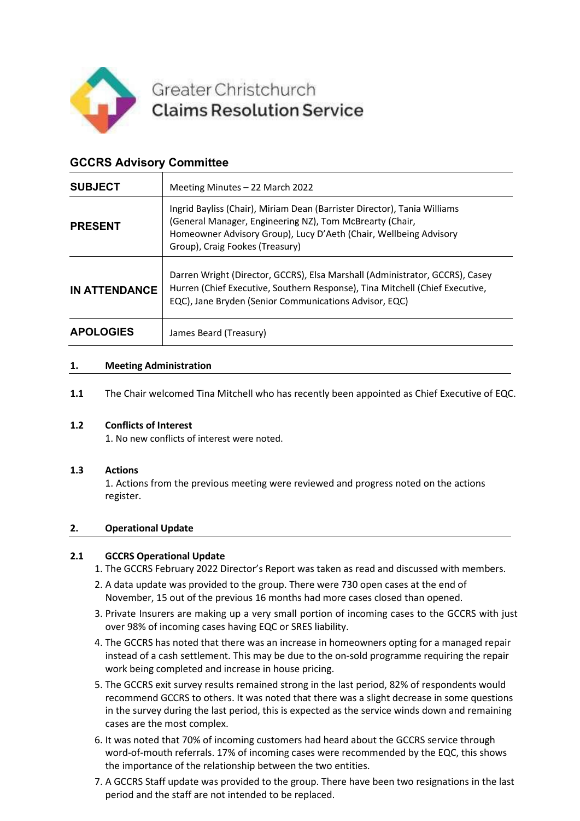

# Greater Christchurch **Claims Resolution Service**

# **GCCRS Advisory Committee**

| <b>SUBJECT</b>       | Meeting Minutes - 22 March 2022                                                                                                                                                                                                              |
|----------------------|----------------------------------------------------------------------------------------------------------------------------------------------------------------------------------------------------------------------------------------------|
| <b>PRESENT</b>       | Ingrid Bayliss (Chair), Miriam Dean (Barrister Director), Tania Williams<br>(General Manager, Engineering NZ), Tom McBrearty (Chair,<br>Homeowner Advisory Group), Lucy D'Aeth (Chair, Wellbeing Advisory<br>Group), Craig Fookes (Treasury) |
| <b>IN ATTENDANCE</b> | Darren Wright (Director, GCCRS), Elsa Marshall (Administrator, GCCRS), Casey<br>Hurren (Chief Executive, Southern Response), Tina Mitchell (Chief Executive,<br>EQC), Jane Bryden (Senior Communications Advisor, EQC)                       |
| <b>APOLOGIES</b>     | James Beard (Treasury)                                                                                                                                                                                                                       |

## **1. Meeting Administration**

**1.1** The Chair welcomed Tina Mitchell who has recently been appointed as Chief Executive of EQC.

#### **1.2 Conflicts of Interest**

1. No new conflicts of interest were noted.

#### **1.3 Actions**

1. Actions from the previous meeting were reviewed and progress noted on the actions register.

#### **2. Operational Update**

#### **2.1 GCCRS Operational Update**

- 1. The GCCRS February 2022 Director's Report was taken as read and discussed with members.
- 2. A data update was provided to the group. There were 730 open cases at the end of November, 15 out of the previous 16 months had more cases closed than opened.
- 3. Private Insurers are making up a very small portion of incoming cases to the GCCRS with just over 98% of incoming cases having EQC or SRES liability.
- 4. The GCCRS has noted that there was an increase in homeowners opting for a managed repair instead of a cash settlement. This may be due to the on-sold programme requiring the repair work being completed and increase in house pricing.
- 5. The GCCRS exit survey results remained strong in the last period, 82% of respondents would recommend GCCRS to others. It was noted that there was a slight decrease in some questions in the survey during the last period, this is expected as the service winds down and remaining cases are the most complex.
- 6. It was noted that 70% of incoming customers had heard about the GCCRS service through word-of-mouth referrals. 17% of incoming cases were recommended by the EQC, this shows the importance of the relationship between the two entities.
- 7. A GCCRS Staff update was provided to the group. There have been two resignations in the last period and the staff are not intended to be replaced.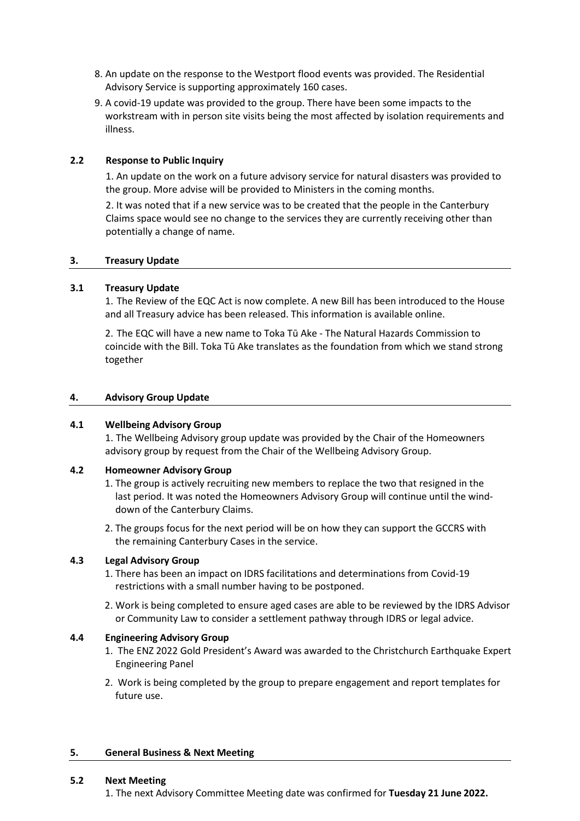- 8. An update on the response to the Westport flood events was provided. The Residential Advisory Service is supporting approximately 160 cases.
- 9. A covid-19 update was provided to the group. There have been some impacts to the workstream with in person site visits being the most affected by isolation requirements and illness.

## **2.2 Response to Public Inquiry**

1. An update on the work on a future advisory service for natural disasters was provided to the group. More advise will be provided to Ministers in the coming months.

2. It was noted that if a new service was to be created that the people in the Canterbury Claims space would see no change to the services they are currently receiving other than potentially a change of name.

#### **3. Treasury Update**

#### **3.1 Treasury Update**

1. The Review of the EQC Act is now complete. A new Bill has been introduced to the House and all Treasury advice has been released. This information is available online.

2. The EQC will have a new name to Toka Tū Ake - The Natural Hazards Commission to coincide with the Bill. Toka Tū Ake translates as the foundation from which we stand strong together

#### **4. Advisory Group Update**

#### **4.1 Wellbeing Advisory Group**

1. The Wellbeing Advisory group update was provided by the Chair of the Homeowners advisory group by request from the Chair of the Wellbeing Advisory Group.

#### **4.2 Homeowner Advisory Group**

- 1. The group is actively recruiting new members to replace the two that resigned in the last period. It was noted the Homeowners Advisory Group will continue until the winddown of the Canterbury Claims.
- 2. The groups focus for the next period will be on how they can support the GCCRS with the remaining Canterbury Cases in the service.

#### **4.3 Legal Advisory Group**

- 1. There has been an impact on IDRS facilitations and determinations from Covid-19 restrictions with a small number having to be postponed.
- 2. Work is being completed to ensure aged cases are able to be reviewed by the IDRS Advisor or Community Law to consider a settlement pathway through IDRS or legal advice.

#### **4.4 Engineering Advisory Group**

- 1. The ENZ 2022 Gold President's Award was awarded to the Christchurch Earthquake Expert Engineering Panel
- 2. Work is being completed by the group to prepare engagement and report templates for future use.

#### **5. General Business & Next Meeting**

#### **5.2 Next Meeting**

1. The next Advisory Committee Meeting date was confirmed for **Tuesday 21 June 2022.**